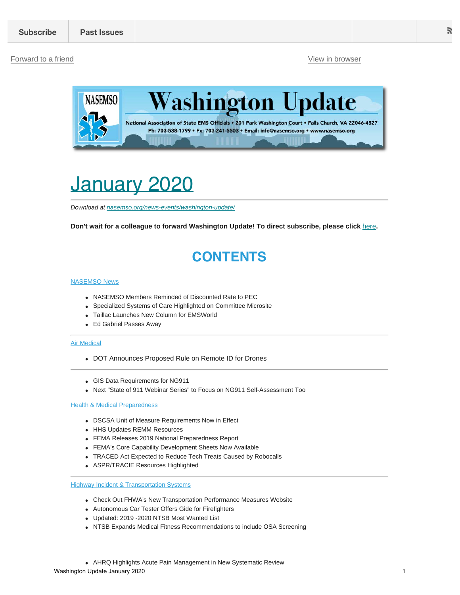#### [Forward to a friend](http://us13.forward-to-friend.com/forward?u=bdaf9a0cf267d423437d7b149&id=9fb1c57b21&e=[UNIQID]) [View in browser](https://mailchi.mp/b8b360f3b8ef/washington-update-january-2020?e=[UNIQID])



# <span id="page-0-0"></span>January 2020

*Download at [nasemso.org/news-events/washington-update/](https://nasemso.org/news-events/washington-update/)*

**Don't wait for a colleague to forward Washington Update! To direct subscribe, please click** [here](http://eepurl.com/cb1_dP)**.**

# **CONTENTS**

#### [NASEMSO News](#page-1-0)

- NASEMSO Members Reminded of Discounted Rate to PEC
- Specialized Systems of Care Highlighted on Committee Microsite
- Taillac Launches New Column for EMSWorld
- Ed Gabriel Passes Away

#### [Air Medical](#page-2-0)

- DOT Announces Proposed Rule on Remote ID for Drones
- GIS Data Requirements for NG911
- Next "State of 911 Webinar Series" to Focus on NG911 Self-Assessment Too

#### **[Health & Medical Preparedness](#page-2-1)**

- DSCSA Unit of Measure Requirements Now in Effect
- HHS Updates REMM Resources
- FEMA Releases 2019 National Preparedness Report
- FEMA's Core Capability Development Sheets Now Available
- TRACED Act Expected to Reduce Tech Treats Caused by Robocalls
- ASPR/TRACIE Resources Highlighted

**Highway I[ncident & Transportation Systems](#page-4-0)** 

- Check Out FHWA's New Transportation Performance Measures Website
- Autonomous Car Tester Offers Gide for Firefighters
- Updated: 2019 -2020 NTSB Most Wanted List
- NTSB Expands Medical Fitness Recommendations to include OSA Screening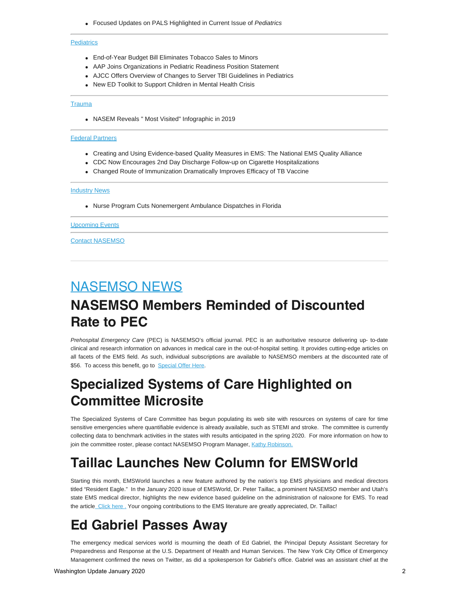Focused Updates on PALS Highlighted in Current Issue of *Pediatrics*

#### **[Pediatrics](#page-5-0)**

- End-of-Year Budget Bill Eliminates Tobacco Sales to Minors
- AAP Joins Organizations in Pediatric Readiness Position Statement
- AJCC Offers Overview of Changes to Server TBI Guidelines in Pediatrics
- New ED Toolkit to Support Children in Mental Health Crisis

#### **[Trauma](#page-6-0)**

NASEM Reveals " Most Visited" Infographic in 2019

#### [Federal Partners](#page-6-1)

- Creating and Using Evidence-based Quality Measures in EMS: The National EMS Quality Alliance
- CDC Now Encourages 2nd Day Discharge Follow-up on Cigarette Hospitalizations
- Changed Route of Immunization Dramatically Improves Efficacy of TB Vaccine

#### **[Industry News](#page-7-0)**

Nurse Program Cuts Nonemergent Ambulance Dispatches in Florida

#### [Upcoming Events](#page-7-1)

[Contact NASEMSO](#page-9-0)

# <span id="page-1-0"></span>NASEMSO NEWS **NASEMSO Members Reminded of Discounted Rate to PEC**

*Prehospital Emergency Care* (PEC) is NASEMSO's official journal. PEC is an authoritative resource delivering up- to-date clinical and research information on advances in medical care in the out-of-hospital setting. It provides cutting-edge articles on all facets of the EMS field. As such, individual subscriptions are available to NASEMSO members at the discounted rate of \$56. To access this benefit, go to [Special Offer Here](https://naemsp.org/NAEMSP/media/NAEMSP-Documents/FORM-PEC-Universal.pdf).

### **Specialized Systems of Care Highlighted on Committee Microsite**

The Specialized Systems of Care Committee has begun populating its web site with resources on systems of care for time sensitive emergencies where quantifiable evidence is already available, such as STEMI and stroke. The committee is currently collecting data to benchmark activities in the states with results anticipated in the spring 2020. For more information on how to join the committee roster, please contact NASEMSO Program Manager, [Kathy Robinson.](mailto:krobinson@nasemso.org?subject=Specialized%20Systems%20of%20Care)

### **Taillac Launches New Column for EMSWorld**

Starting this month, EMSWorld launches a new feature authored by the nation's top EMS physicians and medical directors titled "Resident Eagle." In the January 2020 issue of EMSWorld, Dr. Peter Taillac, a prominent NASEMSO member and Utah's state EMS medical director, highlights the new evidence based guideline on the administration of naloxone for EMS. To read the article Click here[.](http://https//www.emsworld.com/article/1223677/resident-eagle-naloxone-guidance-ems.) Your ongoing contributions to the EMS literature are greatly appreciated, Dr. Taillac!

### **Ed Gabriel Passes Away**

The emergency medical services world is mourning the death of Ed Gabriel, the Principal Deputy Assistant Secretary for Preparedness and Response at the U.S. Department of Health and Human Services. The New York City Office of Emergency Management confirmed the news on Twitter, as did a spokesperson for Gabriel's office. Gabriel was an assistant chief at the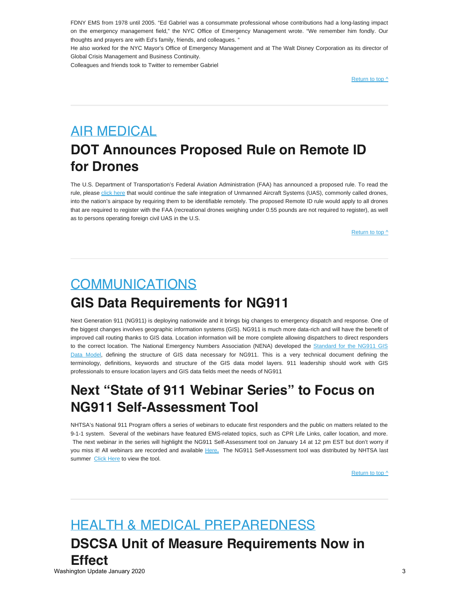FDNY EMS from 1978 until 2005. "Ed Gabriel was a consummate professional whose contributions had a long-lasting impact on the emergency management field," the NYC Office of Emergency Management wrote. "We remember him fondly. Our thoughts and prayers are with Ed's family, friends, and colleagues. "

He also worked for the NYC Mayor's Office of Emergency Management and at The Walt Disney Corporation as its director of Global Crisis Management and Business Continuity.

Colleagues and friends took to Twitter to remember Gabriel

[Return to top ^](#page-0-0)

# <span id="page-2-0"></span>AIR MEDICAL **DOT Announces Proposed Rule on Remote ID for Drones**

The U.S. Department of Transportation's Federal Aviation Administration (FAA) has announced a proposed rule. To read the rule, please [click here](https://www.federalregister.gov/documents/2019/12/31/2019-28100/remote-identification-of-unmanned-aircraft-systems) that would continue the safe integration of Unmanned Aircraft Systems (UAS), commonly called drones, into the nation's airspace by requiring them to be identifiable remotely. The proposed Remote ID rule would apply to all drones that are required to register with the FAA (recreational drones weighing under 0.55 pounds are not required to register), as well as to persons operating foreign civil UAS in the U.S.

[Return to top ^](#page-0-0)

# COMMUNICATIONS **GIS Data Requirements for NG911**

Next Generation 911 (NG911) is deploying nationwide and it brings big changes to emergency dispatch and response. One of the biggest changes involves geographic information systems (GIS). NG911 is much more data-rich and will have the benefit of improved call routing thanks to GIS data. Location information will be more complete allowing dispatchers to direct responders to the correct location. The National Emergency Numbers Association (NENA) developed the [Standard for the NG911 GIS](http://www.federalregister.gov/documents/2019/12/31/2019-28100/remote-identification-of-unmanned-aircraft-systems) [Data Model,](http://www.federalregister.gov/documents/2019/12/31/2019-28100/remote-identification-of-unmanned-aircraft-systems) defining the structure of GIS data necessary for NG911. This is a very technical document defining the terminology, definitions, keywords and structure of the GIS data model layers. 911 leadership should work with GIS professionals to ensure location layers and GIS data fields meet the needs of NG911

### **Next "State of 911 Webinar Series" to Focus on NG911 Self-Assessment Tool**

NHTSA's National 911 Program offers a series of webinars to educate first responders and the public on matters related to the 9-1-1 system. Several of the webinars have featured EMS-related topics, such as CPR Life Links, caller location, and more. The next webinar in the series will highlight the NG911 Self-Assessment tool on January 14 at 12 pm EST but don't worry if you miss it! All webinars are recorded and available [Here](https://www.911.gov/webinars.html)**[.](https://www.911.gov/webinars.html)** The NG911 Self-Assessment tool was distributed by NHTSA last summer [Click Here](https://www.911.gov/project_ng911tool.html) to view the tool.

[Return to top ^](#page-0-0)

#### <span id="page-2-1"></span>HEALTH & MEDICAL PREPAREDNESS

**DSCSA Unit of Measure Requirements Now in Effect**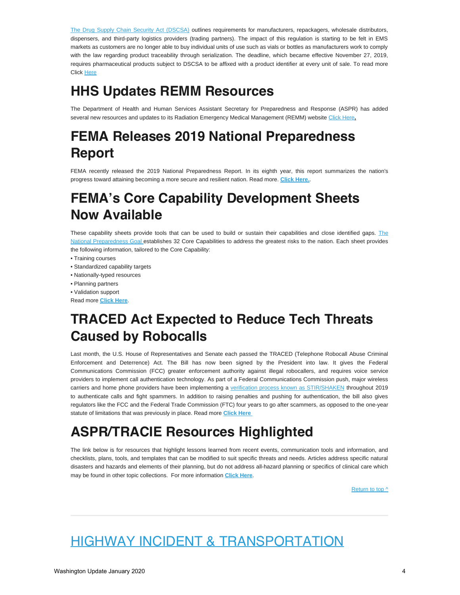[The Drug Supply Chain Security Act \(DSCSA\)](https://www.fda.gov/drugs/drug-supply-chain-security-act-dscsa/title-ii-drug-quality-and-security-act) outlines requirements for manufacturers, repackagers, wholesale distributors, dispensers, and third-party logistics providers (trading partners). The impact of this regulation is starting to be felt in EMS markets as customers are no longer able to buy individual units of use such as vials or bottles as manufacturers work to comply with the law regarding product traceability through serialization. The deadline, which became effective November 27, 2019, requires pharmaceutical products subject to DSCSA to be affixed with a product identifier at every unit of sale. To read more Click [Here](https://www.fda.gov/drugs/drug-supply-chain-integrity/drug-supply-chain-security-act-dscsa)

# **HHS Updates REMM Resources**

The Department of Health and Human Services Assistant Secretary for Preparedness and Response (ASPR) has added several new resources and updates to its Radiation Emergency Medical Management (REMM) website [Click Here](https://www.remm.nlm.gov/whatsnew.htm)**.**

# **FEMA Releases 2019 National Preparedness Report**

FEMA recently released the 2019 National Preparedness Report. In its eighth year, this report summarizes the nation's progress toward attaining becoming a more secure and resilient nation. Read more. **[Click Here.](https://www.fema.gov/national-preparedness-report)**.

# **FEMA's Core Capability Development Sheets Now Available**

[The](https://www.fema.gov/national-preparedness-goal)se capability sheets provide tools that can be used to build or sustain their capabilities and close identified gaps. The [National Preparedness Goal](https://www.fema.gov/national-preparedness-goal) establishes 32 Core Capabilities to address the greatest risks to the nation. Each sheet provides the following information, tailored to the Core Capability:

- Training courses
- Standardized capability targets
- Nationally-typed resources
- Planning partners
- Validation support

Read more **[Click Here](https://www.fema.gov/core-capability-development-sheets)**.

### **TRACED Act Expected to Reduce Tech Threats Caused by Robocalls**

Last month, the U.S. House of Representatives and Senate each passed the TRACED (Telephone Robocall Abuse Criminal Enforcement and Deterrence) Act. The Bill has now been signed by the President into law. It gives the Federal Communications Commission (FCC) greater enforcement authority against illegal robocallers, and requires voice service providers to implement call authentication technology. As part of a Federal Communications Commission push, major wireless carriers and home phone providers have been implementing a [verification process known as STIR/SHAKEN](https://www.cnet.com/news/inside-your-phone-companys-plan-to-stop-robocalls/) throughout 2019 to authenticate calls and fight spammers. In addition to raising penalties and pushing for authentication, the bill also gives regulators like the FCC and the Federal Trade Commission (FTC) four years to go after scammers, as opposed to the one-year statute of limitations that was previously in place. Read more **[Click Here](https://www.fiercewireless.com/regulatory/president-trump-signs-traced-act-into-law-to-combat-robocalls)**

# **ASPR/TRACIE Resources Highlighted**

The link below is for resources that highlight lessons learned from recent events, communication tools and information, and checklists, plans, tools, and templates that can be modified to suit specific threats and needs. Articles address specific natural disasters and hazards and elements of their planning, but do not address all-hazard planning or specifics of clinical care which may be found in other topic collections. For more information **[Click Here](http:// https//asprtracie.hhs.gov/technical-resources/36/Natural-Disasters/0)**.

[Return to top ^](#page-0-0)

# HIGHWAY INCIDENT & TRANSPORTATION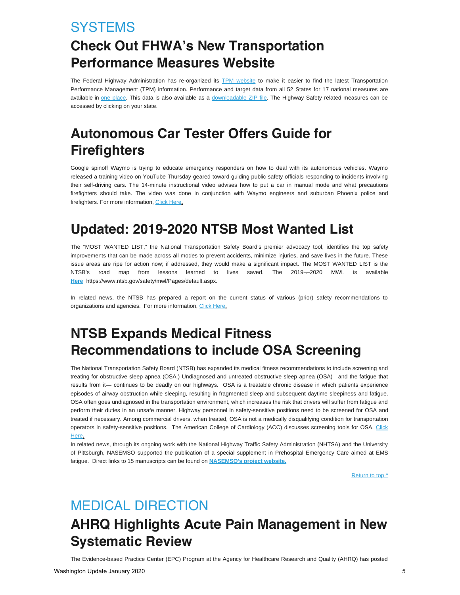### <span id="page-4-0"></span>**SYSTEMS**

# **Check Out FHWA's New Transportation Performance Measures Website**

The Federal Highway Administration has re-organized its [TPM website](https://lnks.gd/l/eyJhbGciOiJIUzI1NiJ9.eyJidWxsZXRpbl9saW5rX2lkIjoxMDAsInVyaSI6ImJwMjpjbGljayIsImJ1bGxldGluX2lkIjoiMjAxOTEyMTkuMTQ1NzM0MTEiLCJ1cmwiOiJodHRwczovL3d3dy5maHdhLmRvdC5nb3YvdHBtLyJ9.48MLG62Ffa4s2MTqcLBuE5cvS1aAbEIarU-jpGq_foM/br/73351476966-l) to make it easier to find the latest Transportation Performance Management (TPM) information. Performance and target data from all 52 States for 17 national measures are available in [one place](https://lnks.gd/l/eyJhbGciOiJIUzI1NiJ9.eyJidWxsZXRpbl9saW5rX2lkIjoxMDEsInVyaSI6ImJwMjpjbGljayIsImJ1bGxldGluX2lkIjoiMjAxOTEyMTkuMTQ1NzM0MTEiLCJ1cmwiOiJodHRwczovL3d3dy5maHdhLmRvdC5nb3YvdHBtL3JlcG9ydGluZy9zdGF0ZS8ifQ.c31EtqhELAEhtnc0h2AEwqKHFIiKKpehTffA1w2kc9M/br/73351476966-l). This data is also available as a [downloadable ZIP file](https://lnks.gd/l/eyJhbGciOiJIUzI1NiJ9.eyJidWxsZXRpbl9saW5rX2lkIjoxMDIsInVyaSI6ImJwMjpjbGljayIsImJ1bGxldGluX2lkIjoiMjAxOTEyMTkuMTQ1NzM0MTEiLCJ1cmwiOiJodHRwczovL3d3dy5maHdhLmRvdC5nb3YvdHBtL3JlcG9ydGluZy8ifQ.mbkh0zLjqVb7wRoYTia46q-H8Srs2MNWbWiSLlOm86U/br/73351476966-l). The Highway Safety related measures can be accessed by clicking on your state.

# **Autonomous Car Tester Offers Guide for Firefighters**

Google spinoff Waymo is trying to educate emergency responders on how to deal with its autonomous vehicles. Waymo released a training video on YouTube Thursday geared toward guiding public safety officials responding to incidents involving their self-driving cars. The 14-minute instructional video advises how to put a car in manual mode and what precautions firefighters should take. The video was done in conjunction with Waymo engineers and suburban Phoenix police and firefighters. For more information, [Click Here](https://www.fireengineering.com/2019/11/23/481423/autonomous-car-tester-offers-guide-for-first-responders/#gref)**.**

### **Updated: 2019-2020 NTSB Most Wanted List**

The "MOST WANTED LIST," the National Transportation Safety Board's premier advocacy tool, identifies the top safety improvements that can be made across all modes to prevent accidents, minimize injuries, and save lives in the future. These issue areas are ripe for action now; if addressed, they would make a significant impact. The MOST WANTED LIST is the NTSB's road map from lessons learned to lives saved. The 2019¬–2020 MWL is available **[Here](https://www.ntsb.gov/safety/mwl/Pages/default.aspx)** https://www.ntsb.gov/safety/mwl/Pages/default.aspx.

In related news, the NTSB has prepared a report on the current status of various (prior) safety recommendations to organizations and agencies. For more information, [Click Here](https://www.ntsb.gov/safety/mwl/Documents/2019-20/2019-20-MWL-SafetyRecs.pdf)**.**

# **NTSB Expands Medical Fitness Recommendations to include OSA Screening**

The National Transportation Safety Board (NTSB) has expanded its medical fitness recommendations to include screening and treating for obstructive sleep apnea (OSA.) Undiagnosed and untreated obstructive sleep apnea (OSA)—and the fatigue that results from it— continues to be deadly on our highways. OSA is a treatable chronic disease in which patients experience episodes of airway obstruction while sleeping, resulting in fragmented sleep and subsequent daytime sleepiness and fatigue. OSA often goes undiagnosed in the transportation environment, which increases the risk that drivers will suffer from fatigue and perform their duties in an unsafe manner. Highway personnel in safety-sensitive positions need to be screened for OSA and treated if necessary. Among commercial drivers, when treated, OSA is not a medically disqualifying condition for transportation operators in safety-sensitive positions. The American College of Cardiology (ACC) discusses screening tools for OSA, [Click](https://www.acc.org/latest-in-cardiology/articles/2015/07/14/11/04/screeing-tools-for-the-obstructive-sleep-apnea-for-the-cardiovascular-clinician) [Here](https://www.acc.org/latest-in-cardiology/articles/2015/07/14/11/04/screeing-tools-for-the-obstructive-sleep-apnea-for-the-cardiovascular-clinician)**.**

In related news, through its ongoing work with the National Highway Traffic Safety Administration (NHTSA) and the University of Pittsburgh, NASEMSO supported the publication of a special supplement in Prehospital Emergency Care aimed at EMS fatigue. Direct links to 15 manuscripts can be found on **[NASEMSO's project website.](https://nasemso.org/projects/fatigue-in-ems/)**

[Return to top ^](#page-0-0)

# MEDICAL DIRECTION

# **AHRQ Highlights Acute Pain Management in New Systematic Review**

The Evidence-based Practice Center (EPC) Program at the Agency for Healthcare Research and Quality (AHRQ) has posted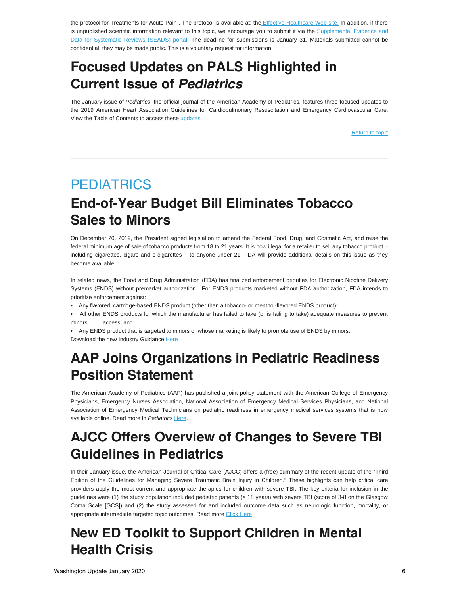the protocol for Treatments for Acute Pain . The protocol is available at: the *Effective Healthcare Web site*. In addition, if there is unpublished scientific information relevant to this topic, we encourage you to submit it via the [Supplemental Evidence and](https://effectivehealthcare.ahrq.gov/webform/products/treatments-acute-pain/submit-sead) [Data for Systematic Reviews \(SEADS\) portal](https://effectivehealthcare.ahrq.gov/webform/products/treatments-acute-pain/submit-sead). The deadline for submissions is January 31. Materials submitted cannot be confidential; they may be made public. This is a voluntary request for information

### **Focused Updates on PALS Highlighted in Current Issue of** *Pediatrics*

The January issue of *Pediatrics*, the official journal of the American Academy of Pediatrics, features three focused updates to the 2019 American Heart Association Guidelines for Cardiopulmonary Resuscitation and Emergency Cardiovascular Care. View the Table of Contents to access thes[e updates](https://pediatrics.aappublications.org/content/145/1?current-issue=y).

[Return to top ^](#page-0-0)

#### <span id="page-5-0"></span>**PEDIATRICS**

### **End-of-Year Budget Bill Eliminates Tobacco Sales to Minors**

On December 20, 2019, the President signed legislation to amend the Federal Food, Drug, and Cosmetic Act, and raise the federal minimum age of sale of tobacco products from 18 to 21 years. It is now illegal for a retailer to sell any tobacco product including cigarettes, cigars and e-cigarettes – to anyone under 21. FDA will provide additional details on this issue as they become available.

In related news, the Food and Drug Administration (FDA) has finalized enforcement priorities for Electronic Nicotine Delivery Systems (ENDS) without premarket authorization. For ENDS products marketed without FDA authorization, FDA intends to prioritize enforcement against:

- Any flavored, cartridge-based ENDS product (other than a tobacco- or menthol-flavored ENDS product);
- All other ENDS products for which the manufacturer has failed to take (or is failing to take) adequate measures to prevent minors' access; and

• Any ENDS product that is targeted to minors or whose marketing is likely to promote use of ENDS by minors. Download the new Industry Guidance [Here](https://www.fda.gov/media/133880/download)

### **AAP Joins Organizations in Pediatric Readiness Position Statement**

The American Academy of Pediatrics (AAP) has published a joint policy statement with the American College of Emergency Physicians, Emergency Nurses Association, National Association of Emergency Medical Services Physicians, and National Association of Emergency Medical Technicians on pediatric readiness in emergency medical services systems that is now available online. Read more in *Pediatrics* [Here](http://the american academy of pediatrics (aap) has published a joint policy statement with the american college of emergency physicians, emergency nurses association, national association of emergency medical services physicians, and national association of emergency medical technicians on pediatric readiness in emergency medical services systems that is now available online. read more in pediatrics at https//pediatrics.aappublications.org/content/145/1/e20193307).

### **AJCC Offers Overview of Changes to Severe TBI Guidelines in Pediatrics**

In their January issue, the American Journal of Critical Care (AJCC) offers a (free) summary of the recent update of the "Third Edition of the Guidelines for Managing Severe Traumatic Brain Injury in Children." These highlights can help critical care providers apply the most current and appropriate therapies for children with severe TBI. The key criteria for inclusion in the guidelines were (1) the study population included pediatric patients ( 18 years) with severe TBI (score of 3-8 on the Glasgow Coma Scale [GCS]) and (2) the study assessed for and included outcome data such as neurologic function, mortality, or appropriate intermediate targeted topic outcomes. Read more [Click](https://aacnjournals.org/ajcconline/article/29/1/e13/30622/Critical-Update-on-the-Third-Edition-of-the) Here

# **New ED Toolkit to Support Children in Mental Health Crisis**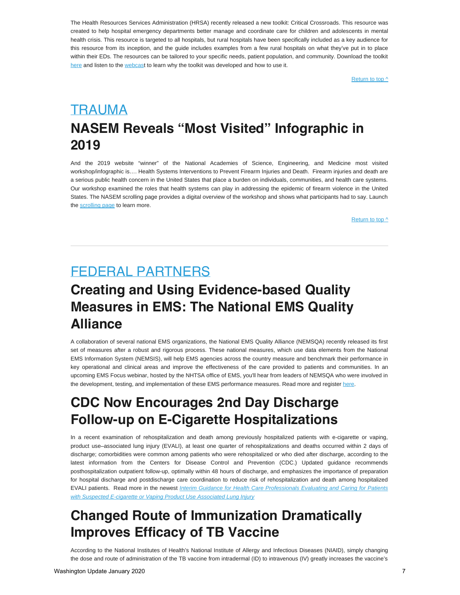The Health Resources Services Administration (HRSA) recently released a new toolkit: Critical Crossroads. This resource was created to help hospital emergency departments better manage and coordinate care for children and adolescents in mental health crisis. This resource is targeted to all hospitals, but rural hospitals have been specifically included as a key audience for this resource from its inception, and the guide includes examples from a few rural hospitals on what they've put in to place within their EDs. The resources can be tailored to your specific needs, patient population, and community. Download the toolkit [here](https://www.hrsa.gov/sites/default/files/hrsa/critical-crossroads/critical-crossroads-tool.pdf) and listen to the [webcas](https://services.choruscall.com/links/hrsa190815.html)t to learn why the toolkit was developed and how to use it.

[Return to top ^](#page-0-0)

# <span id="page-6-0"></span>TRAUMA **NASEM Reveals "Most Visited" Infographic in 2019**

And the 2019 website "winner" of the National Academies of Science, Engineering, and Medicine most visited workshop/infographic is.... Health Systems Interventions to Prevent Firearm Injuries and Death. Firearm injuries and death are a serious public health concern in the United States that place a burden on individuals, communities, and health care systems. Our workshop examined the roles that health systems can play in addressing the epidemic of firearm violence in the United States. The NASEM scrolling page provides a digital overview of the workshop and shows what participants had to say. Launch the [scrolling page](https://nationalacademies.us8.list-manage.com/track/click?u=ab74d126b7d2db12591de5c2c&id=561758beaa&e=fe197433b1) to learn more.

[Return to top ^](#page-0-0)

#### <span id="page-6-1"></span>FEDERAL PARTNERS

### **Creating and Using Evidence-based Quality Measures in EMS: The National EMS Quality Alliance**

A collaboration of several national EMS organizations, the National EMS Quality Alliance (NEMSQA) recently released its first set of measures after a robust and rigorous process. These national measures, which use data elements from the National EMS Information System (NEMSIS), will help EMS agencies across the country measure and benchmark their performance in key operational and clinical areas and improve the effectiveness of the care provided to patients and communities. In an upcoming EMS Focus webinar, hosted by the NHTSA office of EMS, you'll hear from leaders of NEMSQA who were involved in the development, testing, and implementation of these EMS performance measures. Read more and register [here](https://www.ems.gov/ems-focus.html).

# **CDC Now Encourages 2nd Day Discharge Follow-up on E-Cigarette Hospitalizations**

In a recent examination of rehospitalization and death among previously hospitalized patients with e-cigarette or vaping, product use–associated lung injury (EVALI), at least one quarter of rehospitalizations and deaths occurred within 2 days of discharge; comorbidities were common among patients who were rehospitalized or who died after discharge, according to the latest information from the Centers for Disease Control and Prevention (CDC.) Updated guidance recommends posthospitalization outpatient follow-up, optimally within 48 hours of discharge, and emphasizes the importance of preparation for hospital discharge and postdischarge care coordination to reduce risk of rehospitalization and death among hospitalized EVALI patients. Read more in the newest *[Interim Guidance for Health Care Professionals Evaluating and Caring for Patients](http://ww.cdc.gov/mmwr/volumes/68/wr/mm685152e2.htm) [with Suspected E-cigarette or](http://ww.cdc.gov/mmwr/volumes/68/wr/mm685152e2.htm) [Vaping Product Use Associated Lung Injury](https://www.cdc.gov/mmwr/volumes/68/wr/mm685152e2.htm)*

### **Changed Route of Immunization Dramatically Improves Efficacy of TB Vaccine**

According to the National Institutes of Health's National Institute of Allergy and Infectious Diseases (NIAID), simply changing the dose and route of administration of the TB vaccine from intradermal (ID) to intravenous (IV) greatly increases the vaccine's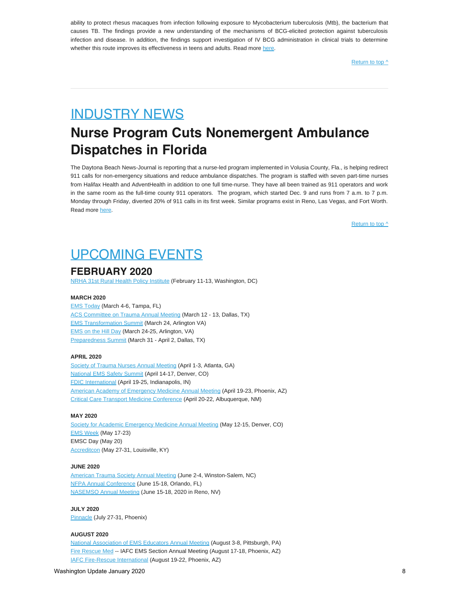ability to protect rhesus macaques from infection following exposure to Mycobacterium tuberculosis (Mtb), the bacterium that causes TB. The findings provide a new understanding of the mechanisms of BCG-elicited protection against tuberculosis infection and disease. In addition, the findings support investigation of IV BCG administration in clinical trials to determine whether this route improves its effectiveness in teens and adults. Read more [here.](https://www.nih.gov/news-events/news-releases/changed-route-immunization-dramatically-improves-efficacy-tb-vaccine)

[Return to top ^](#page-0-0)

### <span id="page-7-0"></span>INDUSTRY NEWS

# **Nurse Program Cuts Nonemergent Ambulance Dispatches in Florida**

The Daytona Beach News-Journal is reporting that a nurse-led program implemented in Volusia County, Fla., is helping redirect 911 calls for non-emergency situations and reduce ambulance dispatches. The program is staffed with seven part-time nurses from Halifax Health and AdventHealth in addition to one full time-nurse. They have all been trained as 911 operators and work in the same room as the full-time county 911 operators. The program, which started Dec. 9 and runs from 7 a.m. to 7 p.m. Monday through Friday, diverted 20% of 911 calls in its first week. Similar programs exist in Reno, Las Vegas, and Fort Worth. Read more [here](https://www.news-journalonline.com/news/20191226/nurse-program-helps-lower-ambulance-dispatches).

[Return to top ^](#page-0-0)

### <span id="page-7-1"></span>UPCOMING EVENTS

#### **FEBRUARY 2020**

[NRHA 31st Rural Health Policy Institute](https://www.ruralhealthweb.org/events/event-details?eventId=17&utm_source=NRHA%20Today&utm_medium=tie%20in&utm_campaign=PI) (February 11-13, Washington, DC)

#### **MARCH 2020**

[EMS Today](https://www.emstoday.com/) (March 4-6, Tampa, FL) ACS [Committee on Trauma Annual Meeting](https://www.facs.org/quality-programs/trauma) (March 12 - 13, Dallas, TX) **[EMS Transformation Summit](https://naemt.org/events/ems-transformation-summit) (March 24, Arlington VA)** [EMS on the](https://naemt.org/events/ems-on-the-hill-day) Hill Day (March 24-25, Arlington, VA) [Preparedness Summit](https://us13.campaign-archive.com/URL) (March 31 - April 2, Dallas, TX)

#### **APRIL 2020**

[Society of Trauma Nurses Annual Meeting](https://www.traumanurses.org/education/traumacon-2020) (April 1-3, Atlanta, GA) [National EMS Safety Summit](http://nationalemssafetysummit.org/) (April 14-17, Denver, CO) [FDIC International](http://www.fdic.com/index.html) (April 19-25, Indianapolis, IN) [American Academy of Emergency Medicine Annual Meeting](http://www.aaem.org/) (April 19-23, Phoenix, AZ) [Critical Care Transport Medicine Conference](https://cctmc.net/) (April 20-22, Albuquerque, NM)

#### **MAY 2020**

[Society for Academic Emergency Medicine Annual Meeting](https://saem.org/annual-meeting/saem20) (May 12-15, Denver, CO) [EMS Week](https://www.acep.org/administration/ems-resources/emsweek/) (May 17-23) EMSC Day (May 20) [Accreditcon](https://www.accreditcon.org/) (May 27-31, Louisville, KY)

#### **JUNE 2020**

[American Trauma Society Annual Meeting](http://www.amtrauma.org/) (June 2-4, Winston-Salem, NC) [NFPA Annual Conference](https://www.nfpa.org/conference/index.html) (June 15-18, Orlando, FL) [NASEMSO](https://nasemso.org/wp-content/uploads/Schedule-at-A-Glance-NASEMSO-Annual-Meeting-2020.pdf) Annual Meeting (June 15-18, 2020 in Reno, NV)

**JULY 2020** [Pinnacle](http://pinnacle-ems.com/) (July 27-31, Phoenix)

#### **AUGUST 2020**

[National Association of EMS Educators Annual Meeting](http://www.naemse.org/) (August 3-8, Pittsburgh, PA) [Fire Rescue Med](https://www.iafc.org/events/frm) -- IAFC EMS Section Annual Meeting (August 17-18, Phoenix, AZ) [IAFC Fire-Rescue International](http://www.iafc.org/fri) (August 19-22, Phoenix, AZ)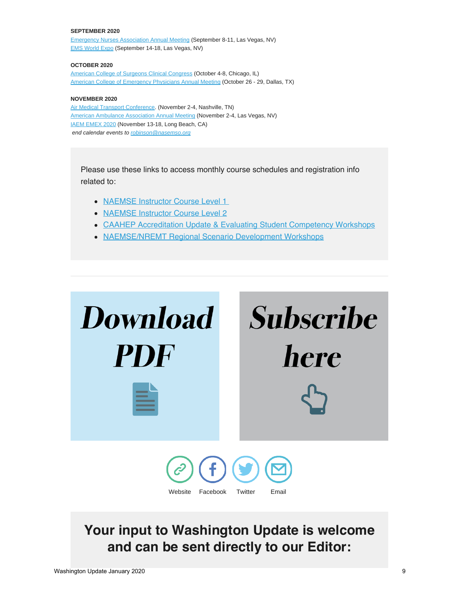#### **SEPTEMBER 2020**

[Emergency Nurses Association Annual Meeting](http://www.ena.org/) (September 8-11, Las Vegas, NV) [EMS World Expo](http://www.emsworldexpo.com/) (September 14-18, Las Vegas, NV)

#### **OCTOBER 2020**

[American College of Surgeons Clinical Congress](https://www.facs.org/clincon2020) (October 4-8, Chicago, IL) [American College of Emergency Physicians Annual Meeting](http://www.acep.org/) (October 26 - 29, Dallas, TX)

#### **NOVEMBER 2020**

[Air Medical Transport Conference](http://aams.org/education-meetings/). (November 2-4, Nashville, TN) [American Ambulance Association Annual Meeting](https://annual.ambulance.org/) (November 2-4, Las Vegas, NV) [IAEM EMEX 2020](http://www.iaem.com/) (November 13-18, Long Beach, CA) *end calendar events to [robinson@nasemso.org](mailto:robinson@nasemso.org?subject=Calendar%20Event%20for%20Washington%20Update)*

Please use these links to access monthly course schedules and registration info related to:

- [NAEMSE Instructor Course Level 1](http://naemse.org/?page=LVL1InstructorCourse)
- [NAEMSE Instructor Course Level 2](http://naemse.org/?page=LVL2InstructorCourse)
- [CAAHEP Accreditation Update & Evaluating Student Competency Workshops](http://naemse.org/?page=coaemsp)
- [NAEMSE/NREMT Regional Scenario Development Workshops](http://naemse.org/?page=nremt)

| <b>Download</b>                                                                         | <b>Subscribe</b> |
|-----------------------------------------------------------------------------------------|------------------|
| <b>PDF</b>                                                                              | here             |
| $\bigodot$ (f) $\bigodot$ $\bigodot$<br>Website<br>Facebook<br>Twitter<br><b>F</b> mail |                  |

### **Your input to Washington Update is welcome and can be sent directly to our Editor:**